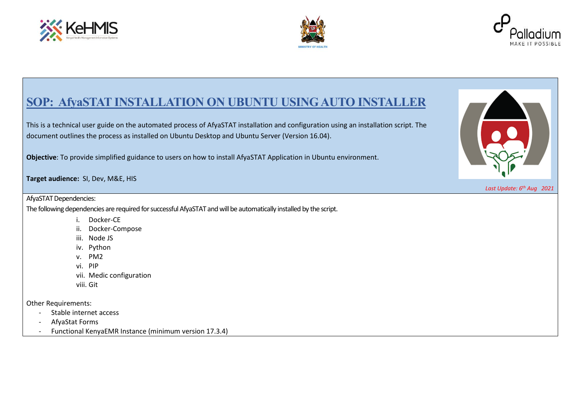





## **SOP: AfyaSTAT INSTALLATION ON UBUNTU USING AUTO INSTALLER**

This is a technical user guide on the automated process of AfyaSTAT installation and configuration using an installation script. The document outlines the process as installed on Ubuntu Desktop and Ubuntu Server (Version 16.04).

**Objective**: To provide simplified guidance to users on how to install AfyaSTAT Application in Ubuntu environment.

**Target audience:** SI, Dev, M&E, HIS

AfyaSTAT Dependencies:

The following dependencies are required for successful AfyaSTAT and will be automatically installed by the script.

- i. Docker-CE
- ii. Docker-Compose
- iii. Node JS
- iv. Python
- v. PM2
- vi. PIP
- vii. Medic configuration
- viii. Git

Other Requirements:

- Stable internet access
- AfyaStat Forms
- Functional KenyaEMR Instance (minimum version 17.3.4)



*Last Update: 6 th Aug 2021*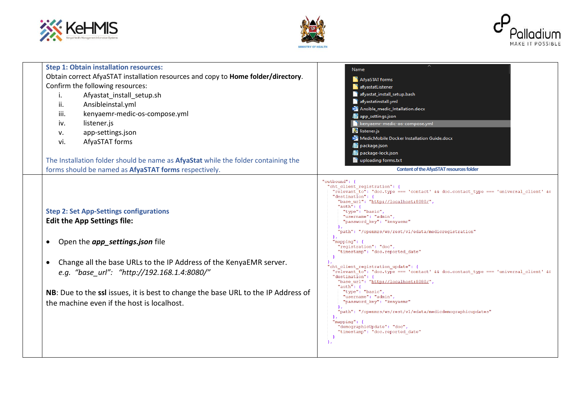





| <b>Step 1: Obtain installation resources:</b><br>Obtain correct AfyaSTAT installation resources and copy to Home folder/directory.<br>Confirm the following resources:<br>Afyastat_install_setup.sh<br>i.<br>ii.<br>Ansibleinstal.yml<br>kenyaemr-medic-os-compose.yml<br>iii.<br>listener.js<br>iv.<br>app-settings.json<br>v.<br>AfyaSTAT forms<br>vi.<br>The Installation folder should be name as <b>AfyaStat</b> while the folder containing the | Name<br>AfyaSTAT forms<br><b>A</b> afyastatListener<br>afyastat_install_setup.bash<br>afyastatinstall.yml<br><b>WE</b> Ansible_medic_Intallation.docx<br>app_settings.json<br>kenyaemr-medic-os-compose.yml<br>S listener.js<br>WE MedicMobile Docker Installation Guide.docx<br>package.json<br>package-lock.json<br>uploading forms.txt                                                                                                                                                                                                                                                                                                                                                                                                                                                                                                                                               |
|-------------------------------------------------------------------------------------------------------------------------------------------------------------------------------------------------------------------------------------------------------------------------------------------------------------------------------------------------------------------------------------------------------------------------------------------------------|-----------------------------------------------------------------------------------------------------------------------------------------------------------------------------------------------------------------------------------------------------------------------------------------------------------------------------------------------------------------------------------------------------------------------------------------------------------------------------------------------------------------------------------------------------------------------------------------------------------------------------------------------------------------------------------------------------------------------------------------------------------------------------------------------------------------------------------------------------------------------------------------|
| forms should be named as AfyaSTAT forms respectively.                                                                                                                                                                                                                                                                                                                                                                                                 | <b>Content of the AfyaSTAT resources folder</b>                                                                                                                                                                                                                                                                                                                                                                                                                                                                                                                                                                                                                                                                                                                                                                                                                                         |
| <b>Step 2: Set App-Settings configurations</b><br><b>Edit the App Settings file:</b><br>Open the app_settings.json file<br>Change all the base URLs to the IP Address of the KenyaEMR server.<br>e.g. "base url": "http://192.168.1.4:8080/"<br>NB: Due to the ssl issues, it is best to change the base URL to the IP Address of<br>the machine even if the host is localhost.                                                                       | "outbound": {<br>"cht client registration": {<br>"relevant to": "doc.type === 'contact' && doc.contact type === 'universal client' &&<br>"destination": {<br>"base url": "http://localhost:8080/",<br>" $auth$ ": {<br>"type": "basic",<br>"username": "admin",<br>"password key": "kenyaemr"<br>"path": "/openmrs/ws/rest/v1/edata/medicreqistration"<br>$"mapping":$ {<br>"reqistration": "doc",<br>"timestamp": "doc.reported date"<br>"cht client registration update": {<br>"relevant to": "doc.type === 'contact' && doc.contact type === 'universal client' &&<br>"destination": {<br>"base url": "http://localhost:8080/",<br>"auth": $\{$<br>"type": "basic",<br>"username": "admin",<br>"password key": "kenyaemr"<br>"path": "/openmrs/ws/rest/v1/edata/medicdemographicupdates"<br>"mapping": $\{$<br>"demographicUpdate": "doc",<br>"timestamp": "doc.reported date"<br>λ, |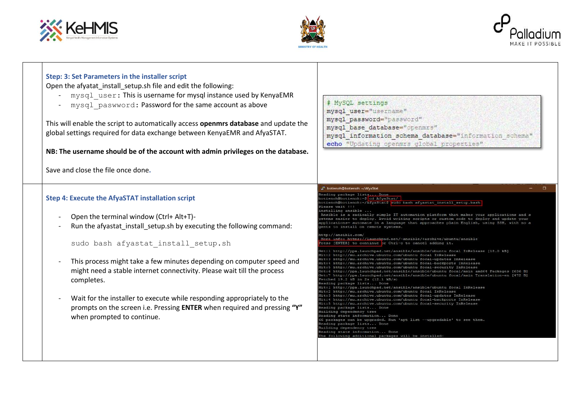





| Step: 3: Set Parameters in the installer script<br>Open the afyatat install setup.sh file and edit the following:<br>- mysql user: This is username for mysql instance used by KenyaEMR<br>mysql paswword: Password for the same account as above<br>This will enable the script to automatically access openmrs database and update the<br>global settings required for data exchange between KenyaEMR and AfyaSTAT.<br>NB: The username should be of the account with admin privileges on the database.<br>Save and close the file once done. | # MySQL settings<br>mysql user="username"<br>mysql password="password"<br>mysql base database="openmrs"<br>mysql information schema database="information schema"<br>echo "Updating openmrs global properties"                                                                                                                                                                                                                                                                                                                                                                                                                                                                                                                                                                                                                                                                                                                                                                                                                                                                                                                                                                                                                                                                                                                                                                                                                                                                                                                                                                                                    |
|-------------------------------------------------------------------------------------------------------------------------------------------------------------------------------------------------------------------------------------------------------------------------------------------------------------------------------------------------------------------------------------------------------------------------------------------------------------------------------------------------------------------------------------------------|-------------------------------------------------------------------------------------------------------------------------------------------------------------------------------------------------------------------------------------------------------------------------------------------------------------------------------------------------------------------------------------------------------------------------------------------------------------------------------------------------------------------------------------------------------------------------------------------------------------------------------------------------------------------------------------------------------------------------------------------------------------------------------------------------------------------------------------------------------------------------------------------------------------------------------------------------------------------------------------------------------------------------------------------------------------------------------------------------------------------------------------------------------------------------------------------------------------------------------------------------------------------------------------------------------------------------------------------------------------------------------------------------------------------------------------------------------------------------------------------------------------------------------------------------------------------------------------------------------------------|
|                                                                                                                                                                                                                                                                                                                                                                                                                                                                                                                                                 |                                                                                                                                                                                                                                                                                                                                                                                                                                                                                                                                                                                                                                                                                                                                                                                                                                                                                                                                                                                                                                                                                                                                                                                                                                                                                                                                                                                                                                                                                                                                                                                                                   |
| <b>Step 4: Execute the AfyaSTAT installation script</b><br>Open the terminal window (Ctrl+ Alt+T)-<br>Run the afyastat install setup.sh by executing the following command:<br>sudo bash afyastat install setup.sh<br>This process might take a few minutes depending on computer speed and<br>might need a stable internet connectivity. Please wait till the process<br>completes.<br>Wait for the installer to execute while responding appropriately to the                                                                                 | botienoh@botienoh: ~/AfyaStat<br>leading package lists Done<br>otienoh@botienoh:~\$ cd AfyaStat/ <mark>.</mark><br>otienoh@botienoh:~/AfyaStat\$ sudo bash afyastat install setup.bash<br>lease wait !!!<br>installing ansible<br>Ansible is a radically simple IT automation platform that makes your applications and s<br>stems easier to deploy. Avoid writing scripts or custom code to deploy and update your<br>applications- automate in a language that approaches plain English, using SSH, with no a<br>ents to install on remote systems.<br>ttp://ansible.com/<br>More info: https://launchpad.net/~ansible/+archive/ubuntu/ansible<br>ress [ENTER] to continue or Ctrl-c to cancel adding it.<br>et:l http://ppa.launchpad.net/ansible/ansible/ubuntu focal InRelease [18.0 kB]<br>lit:2 http://mu.archive.ubuntu.com/ubuntu focal InRelease<br>http://mu.archive.ubuntu.com/ubuntu focal-updates InRelease<br>itt:4 http://mu.archive.ubuntu.com/ubuntu focal-backports InRelease<br>Hit:5 http://mu.archive.ubuntu.com/ubuntu focal-security InRelease<br>Ect:6 http://ppa.launchpad.net/ansible/ansible/ubuntu focal/main amd64 Packages [636 B]<br>Set:7 http://ppa.launchpad.net/ansible/ansible/ubuntu focal/main Translation-en [472 B]<br>Fetched 19.2 kB in 2s (12.1 kB/s)<br>Reading package lists Done<br>Hit:1 http://ppa.launchpad.net/ansible/ansible/ubuntu focal InRelease<br>Hit:2 http://mu.archive.ubuntu.com/ubuntu focal InRelease<br>Hit:3 http://mu.archive.ubuntu.com/ubuntu focal-updates InRelease<br>Hit:4 http://mu.archive.ubuntu.com/ubuntu focal-backports InRelease |
| prompts on the screen i.e. Pressing ENTER when required and pressing "Y"<br>when prompted to continue.                                                                                                                                                                                                                                                                                                                                                                                                                                          | Hit:5 http://mu.archive.ubuntu.com/ubuntu focal-security InRelease<br>eading package lists Done<br>uilding dependency tree<br>leading state information Done<br>6 packages can be upgraded. Run 'apt list --upgradable' to see them.<br>Reading package lists Done<br>Building dependency tree<br>leading state information Done<br>The following additional packages will be installed:                                                                                                                                                                                                                                                                                                                                                                                                                                                                                                                                                                                                                                                                                                                                                                                                                                                                                                                                                                                                                                                                                                                                                                                                                          |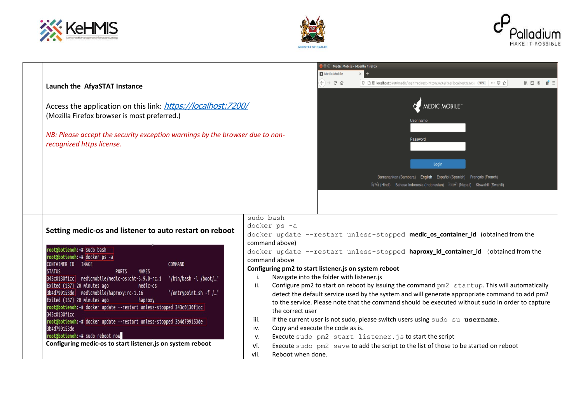

┬





| Launch the AfyaSTAT Instance<br>Access the application on this link: https://localhost:7200/<br>(Mozilla Firefox browser is most preferred.)                                                                                                                                                                                                                                                                                                                                                                                                                                                                                                                                                                                       |                                                                                                                                                                                                                 | <b>E E MEDIC MODILE - MOZILLA FIFEFOX</b><br>Medic Mobile<br>$\leftarrow$ $\rightarrow$ $\alpha$ $\alpha$ | $\mathbb{I} \cap \mathbb{I} \cap \mathbb{I} \cap \mathbb{I} \cap \mathbb{I} \cap \mathbb{I} \cap \mathbb{I} \cap \mathbb{I} \cap \mathbb{I} \cap \mathbb{I} \cap \mathbb{I} \cap \mathbb{I} \cap \mathbb{I} \cap \mathbb{I} \cap \mathbb{I} \cap \mathbb{I} \cap \mathbb{I} \cap \mathbb{I} \cap \mathbb{I} \cap \mathbb{I} \cap \mathbb{I} \cap \mathbb{I} \cap \mathbb{I} \cap \mathbb{I} \cap \mathbb{I} \cap \mathbb{I} \cap \mathbb{I} \cap \mathbb{$<br><sup>1</sup> ● 感 l <b>ocalhost</b> :5988/medic/login?redirect=http%3A%2F%2Flocalhost%3A59 (90%) … ▽ ☆<br><b>MEDIC MOBILE</b><br>User name                                                                                                      |
|------------------------------------------------------------------------------------------------------------------------------------------------------------------------------------------------------------------------------------------------------------------------------------------------------------------------------------------------------------------------------------------------------------------------------------------------------------------------------------------------------------------------------------------------------------------------------------------------------------------------------------------------------------------------------------------------------------------------------------|-----------------------------------------------------------------------------------------------------------------------------------------------------------------------------------------------------------------|-----------------------------------------------------------------------------------------------------------|--------------------------------------------------------------------------------------------------------------------------------------------------------------------------------------------------------------------------------------------------------------------------------------------------------------------------------------------------------------------------------------------------------------------------------------------------------------------------------------------------------------------------------------------------------------------------------------------------------------------------------------------------------------------------------------------------------------|
| NB: Please accept the security exception warnings by the browser due to non-<br>recognized https license.                                                                                                                                                                                                                                                                                                                                                                                                                                                                                                                                                                                                                          |                                                                                                                                                                                                                 |                                                                                                           | Password<br>Login<br>Bamanankan (Bambara) English Español (Spanish) Francais (French)<br>हिन्दी (Hindi) Bahasa Indonesia (Indonesian) नेपाली (Nepali) Kiswahili (Swahili)                                                                                                                                                                                                                                                                                                                                                                                                                                                                                                                                    |
| Setting medic-os and listener to auto restart on reboot<br>oot@botienoh:~# sudo bash<br>root@botienoh:~# docker ps -a<br>CONTAINER ID IMAGE<br>COMMAND<br><b>STATUS</b><br><b>PORTS</b><br><b>NAMES</b><br>343c0130f1cc medicmobile/medic-os:cht-3.9.0-rc.1<br>"/bin/bash -l /boot/"<br>Exited (137) 20 minutes ago<br>medic-os<br>3b4d799153de medicmobile/haproxy:rc-1.16<br>"/entrypoint.sh $-f$ /"<br>Exited (137) 20 minutes ago<br>haproxy<br>root@botienoh:~# docker update --restart unless-stopped 343c0130f1cc<br>343c0130f1cc<br>root@botienoh:~# docker update --restart unless-stopped 3b4d799153de<br>3b4d799153de<br>root@botienoh:~# sudo reboot now<br>Configuring medic-os to start listener.js on system reboot | sudo bash<br>docker ps -a<br>command above)<br>command above<br>Configuring pm2 to start listener.js on system reboot<br>i.<br>ii.<br>the correct user<br>iii.<br>iv.<br>v.<br>vi.<br>vii.<br>Reboot when done. | Navigate into the folder with listener.js<br>Copy and execute the code as is.                             | docker update --restart unless-stopped medic_os_container_id (obtained from the<br>docker update --restart unless-stopped haproxy_id_container_id (obtained from the<br>Configure pm2 to start on reboot by issuing the command pm2 startup. This will automatically<br>detect the default service used by the system and will generate appropriate command to add pm2<br>to the service. Please note that the command should be executed without sudo in order to capture<br>If the current user is not sudo, please switch users using sudo su username.<br>Execute sudo pm2 start listener.js to start the script<br>Execute sudo pm2 save to add the script to the list of those to be started on reboot |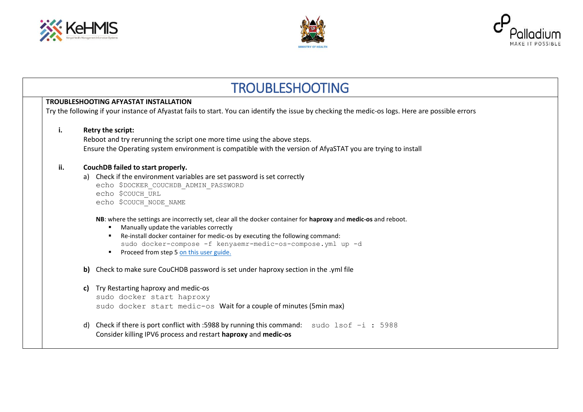





| <b>TROUBLESHOOTING</b> |                                                                                                                                                                                                                                                                                                                                                                                                                                                                                                                                                           |  |  |  |
|------------------------|-----------------------------------------------------------------------------------------------------------------------------------------------------------------------------------------------------------------------------------------------------------------------------------------------------------------------------------------------------------------------------------------------------------------------------------------------------------------------------------------------------------------------------------------------------------|--|--|--|
|                        | <b>TROUBLESHOOTING AFYASTAT INSTALLATION</b><br>Try the following if your instance of Afyastat fails to start. You can identify the issue by checking the medic-os logs. Here are possible errors                                                                                                                                                                                                                                                                                                                                                         |  |  |  |
| i.                     | Retry the script:<br>Reboot and try rerunning the script one more time using the above steps.<br>Ensure the Operating system environment is compatible with the version of AfyaSTAT you are trying to install                                                                                                                                                                                                                                                                                                                                             |  |  |  |
| ii.                    | CouchDB failed to start properly.<br>a) Check if the environment variables are set password is set correctly<br>echo \$DOCKER COUCHDB ADMIN_PASSWORD<br>echo \$COUCH URL<br>echo \$COUCH_NODE_NAME<br>NB: where the settings are incorrectly set, clear all the docker container for haproxy and medic-os and reboot.<br>Manually update the variables correctly<br>Re-install docker container for medic-os by executing the following command:<br>sudo docker-compose -f kenyaemr-medic-os-compose.yml up -d<br>Proceed from step 5 on this user guide. |  |  |  |
|                        | b) Check to make sure CouCHDB password is set under haproxy section in the .yml file                                                                                                                                                                                                                                                                                                                                                                                                                                                                      |  |  |  |
|                        | c) Try Restarting haproxy and medic-os<br>sudo docker start haproxy<br>sudo docker start medic-os Wait for a couple of minutes (5min max)                                                                                                                                                                                                                                                                                                                                                                                                                 |  |  |  |
|                        | d) Check if there is port conflict with :5988 by running this command: sudo $lsof -i : 5988$<br>Consider killing IPV6 process and restart haproxy and medic-os                                                                                                                                                                                                                                                                                                                                                                                            |  |  |  |